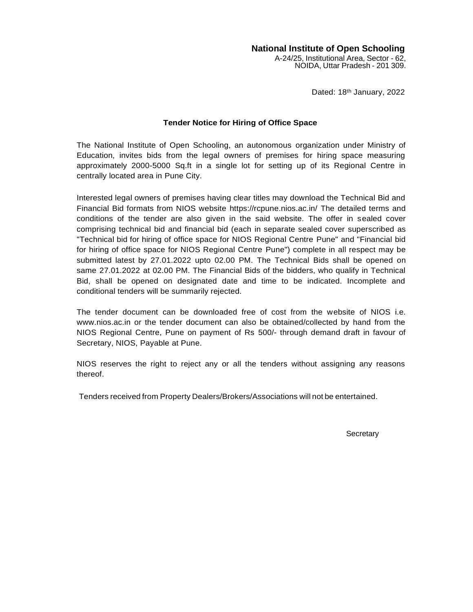#### **National Institute of Open Schooling**

A-24/25, Institutional Area, Sector - 62, NOIDA, Uttar Pradesh - 201 309.

Dated: 18<sup>th</sup> January, 2022

#### **Tender Notice for Hiring of Office Space**

The National Institute of Open Schooling, an autonomous organization under Ministry of Education, invites bids from the legal owners of premises for hiring space measuring approximately 2000-5000 Sq.ft in a single lot for setting up of its Regional Centre in centrally located area in Pune City.

Interested legal owners of premises having clear titles may download the Technical Bid and Financial Bid formats from NIOS website https://rcpune.nios.ac.in/ The detailed terms and conditions of the tender are also given in the said website. The offer in sealed cover comprising technical bid and financial bid (each in separate sealed cover superscribed as "Technical bid for hiring of office space for NIOS Regional Centre Pune" and "Financial bid for hiring of office space for NIOS Regional Centre Pune") complete in all respect may be submitted latest by 27.01.2022 upto 02.00 PM. The Technical Bids shall be opened on same 27.01.2022 at 02.00 PM. The Financial Bids of the bidders, who qualify in Technical Bid, shall be opened on designated date and time to be indicated. Incomplete and conditional tenders will be summarily rejected.

The tender document can be downloaded free of cost from the website of NIOS i.e. [www.nios.ac.in](http://www.nios.ac.in/) or the tender document can also be obtained/collected by hand from the NIOS Regional Centre, Pune on payment of Rs 500/- through demand draft in favour of Secretary, NIOS, Payable at Pune.

NIOS reserves the right to reject any or all the tenders without assigning any reasons thereof.

Tenders received from Property Dealers/Brokers/Associations will not be entertained.

**Secretary**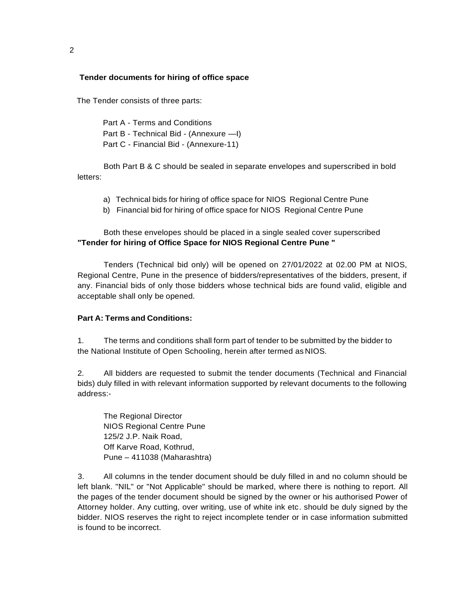#### **Tender documents for hiring of office space**

The Tender consists of three parts:

Part A - Terms and Conditions Part B - Technical Bid - (Annexure —I) Part C - Financial Bid - (Annexure-11)

Both Part B & C should be sealed in separate envelopes and superscribed in bold letters:

- a) Technical bids for hiring of office space for NIOS Regional Centre Pune
- b) Financial bid for hiring of office space for NIOS Regional Centre Pune

Both these envelopes should be placed in a single sealed cover superscribed **"Tender for hiring of Office Space for NIOS Regional Centre Pune "**

Tenders (Technical bid only) will be opened on 27/01/2022 at 02.00 PM at NIOS, Regional Centre, Pune in the presence of bidders/representatives of the bidders, present, if any. Financial bids of only those bidders whose technical bids are found valid, eligible and acceptable shall only be opened.

#### **Part A: Terms and Conditions:**

1. The terms and conditions shall form part of tender to be submitted by the bidder to the National Institute of Open Schooling, herein after termed as NIOS.

2. All bidders are requested to submit the tender documents (Technical and Financial bids) duly filled in with relevant information supported by relevant documents to the following address:-

The Regional Director NIOS Regional Centre Pune 125/2 J.P. Naik Road, Off Karve Road, Kothrud, Pune – 411038 (Maharashtra)

3. All columns in the tender document should be duly filled in and no column should be left blank. "NIL" or "Not Applicable" should be marked, where there is nothing to report. All the pages of the tender document should be signed by the owner or his authorised Power of Attorney holder. Any cutting, over writing, use of white ink etc. should be duly signed by the bidder. NIOS reserves the right to reject incomplete tender or in case information submitted is found to be incorrect.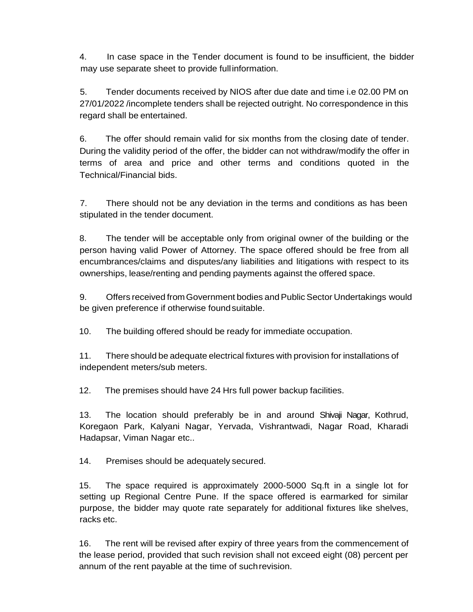4. In case space in the Tender document is found to be insufficient, the bidder may use separate sheet to provide fullinformation.

5. Tender documents received by NIOS after due date and time i.e 02.00 PM on 27/01/2022 /incomplete tenders shall be rejected outright. No correspondence in this regard shall be entertained.

6. The offer should remain valid for six months from the closing date of tender. During the validity period of the offer, the bidder can not withdraw/modify the offer in terms of area and price and other terms and conditions quoted in the Technical/Financial bids.

7. There should not be any deviation in the terms and conditions as has been stipulated in the tender document.

8. The tender will be acceptable only from original owner of the building or the person having valid Power of Attorney. The space offered should be free from all encumbrances/claims and disputes/any liabilities and litigations with respect to its ownerships, lease/renting and pending payments against the offered space.

9. Offers received from Government bodies and Public Sector Undertakings would be given preference if otherwise foundsuitable.

10. The building offered should be ready for immediate occupation.

11. There should be adequate electrical fixtures with provision for installations of independent meters/sub meters.

12. The premises should have 24 Hrs full power backup facilities.

13. The location should preferably be in and around Shivaji Nagar, Kothrud, Koregaon Park, Kalyani Nagar, Yervada, Vishrantwadi, Nagar Road, Kharadi Hadapsar, Viman Nagar etc..

14. Premises should be adequately secured.

15. The space required is approximately 2000-5000 Sq.ft in a single lot for setting up Regional Centre Pune. If the space offered is earmarked for similar purpose, the bidder may quote rate separately for additional fixtures like shelves, racks etc.

16. The rent will be revised after expiry of three years from the commencement of the lease period, provided that such revision shall not exceed eight (08) percent per annum of the rent payable at the time of suchrevision.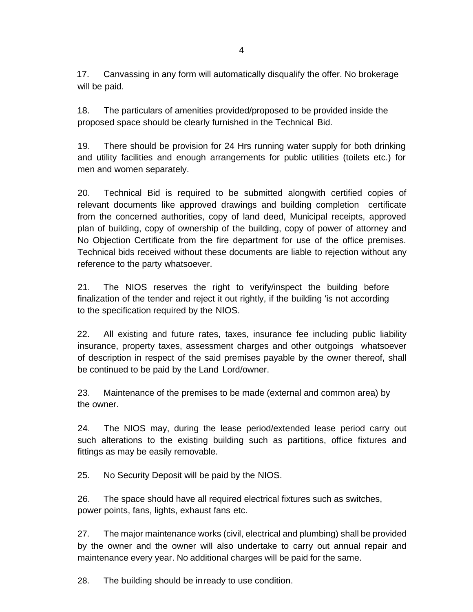18. The particulars of amenities provided/proposed to be provided inside the proposed space should be clearly furnished in the Technical Bid.

will be paid.

19. There should be provision for 24 Hrs running water supply for both drinking and utility facilities and enough arrangements for public utilities (toilets etc.) for men and women separately.

20. Technical Bid is required to be submitted alongwith certified copies of relevant documents like approved drawings and building completion certificate from the concerned authorities, copy of land deed, Municipal receipts, approved plan of building, copy of ownership of the building, copy of power of attorney and No Objection Certificate from the fire department for use of the office premises. Technical bids received without these documents are liable to rejection without any reference to the party whatsoever.

21. The NIOS reserves the right to verify/inspect the building before finalization of the tender and reject it out rightly, if the building 'is not according to the specification required by the NIOS.

22. All existing and future rates, taxes, insurance fee including public liability insurance, property taxes, assessment charges and other outgoings whatsoever of description in respect of the said premises payable by the owner thereof, shall be continued to be paid by the Land Lord/owner.

23. Maintenance of the premises to be made (external and common area) by the owner.

24. The NIOS may, during the lease period/extended lease period carry out such alterations to the existing building such as partitions, office fixtures and fittings as may be easily removable.

25. No Security Deposit will be paid by the NIOS.

26. The space should have all required electrical fixtures such as switches, power points, fans, lights, exhaust fans etc.

27. The major maintenance works (civil, electrical and plumbing) shall be provided by the owner and the owner will also undertake to carry out annual repair and maintenance every year. No additional charges will be paid for the same.

28. The building should be inready to use condition.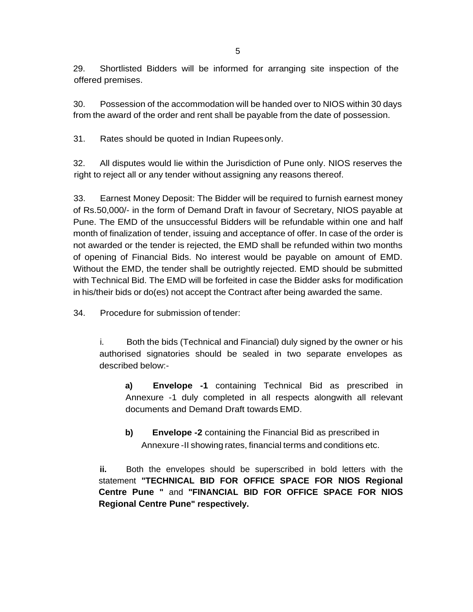29. Shortlisted Bidders will be informed for arranging site inspection of the offered premises.

30. Possession of the accommodation will be handed over to NIOS within 30 days from the award of the order and rent shall be payable from the date of possession.

31. Rates should be quoted in Indian Rupeesonly.

32. All disputes would lie within the Jurisdiction of Pune only. NIOS reserves the right to reject all or any tender without assigning any reasons thereof.

33. Earnest Money Deposit: The Bidder will be required to furnish earnest money of Rs.50,000/- in the form of Demand Draft in favour of Secretary, NIOS payable at Pune. The EMD of the unsuccessful Bidders will be refundable within one and half month of finalization of tender, issuing and acceptance of offer. In case of the order is not awarded or the tender is rejected, the EMD shall be refunded within two months of opening of Financial Bids. No interest would be payable on amount of EMD. Without the EMD, the tender shall be outrightly rejected. EMD should be submitted with Technical Bid. The EMD will be forfeited in case the Bidder asks for modification in his/their bids or do(es) not accept the Contract after being awarded the same.

34. Procedure for submission of tender:

i. Both the bids (Technical and Financial) duly signed by the owner or his authorised signatories should be sealed in two separate envelopes as described below:-

**a) Envelope -1** containing Technical Bid as prescribed in Annexure -1 duly completed in all respects alongwith all relevant documents and Demand Draft towards EMD.

**b) Envelope -2** containing the Financial Bid as prescribed in Annexure -II showing rates, financial terms and conditions etc.

**ii.** Both the envelopes should be superscribed in bold letters with the statement **"TECHNICAL BID FOR OFFICE SPACE FOR NIOS Regional Centre Pune "** and **"FINANCIAL BID FOR OFFICE SPACE FOR NIOS Regional Centre Pune" respectively.**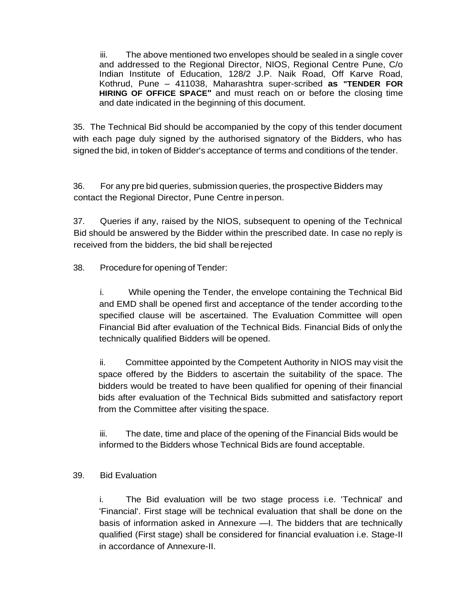iii. The above mentioned two envelopes should be sealed in a single cover and addressed to the Regional Director, NIOS, Regional Centre Pune, C/o Indian Institute of Education, 128/2 J.P. Naik Road, Off Karve Road, Kothrud, Pune – 411038, Maharashtra super-scribed **as "TENDER FOR HIRING OF OFFICE SPACE"** and must reach on or before the closing time and date indicated in the beginning of this document.

35. The Technical Bid should be accompanied by the copy of this tender document with each page duly signed by the authorised signatory of the Bidders, who has signed the bid, in token of Bidder's acceptance of terms and conditions of the tender.

36. For any pre bid queries, submission queries, the prospective Bidders may contact the Regional Director, Pune Centre in person.

37. Queries if any, raised by the NIOS, subsequent to opening of the Technical Bid should be answered by the Bidder within the prescribed date. In case no reply is received from the bidders, the bid shall berejected

38. Procedure for opening of Tender:

i. While opening the Tender, the envelope containing the Technical Bid and EMD shall be opened first and acceptance of the tender according tothe specified clause will be ascertained. The Evaluation Committee will open Financial Bid after evaluation of the Technical Bids. Financial Bids of only the technically qualified Bidders will be opened.

ii. Committee appointed by the Competent Authority in NIOS may visit the space offered by the Bidders to ascertain the suitability of the space. The bidders would be treated to have been qualified for opening of their financial bids after evaluation of the Technical Bids submitted and satisfactory report from the Committee after visiting thespace.

iii. The date, time and place of the opening of the Financial Bids would be informed to the Bidders whose Technical Bids are found acceptable.

# 39. Bid Evaluation

i. The Bid evaluation will be two stage process i.e. 'Technical' and 'Financial'. First stage will be technical evaluation that shall be done on the basis of information asked in Annexure —I. The bidders that are technically qualified (First stage) shall be considered for financial evaluation i.e. Stage-II in accordance of Annexure-II.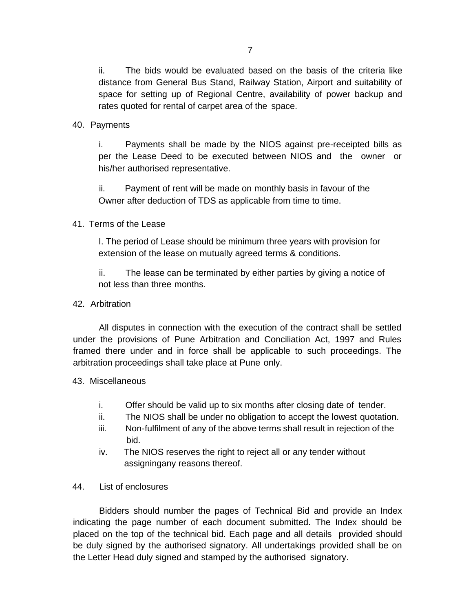ii. The bids would be evaluated based on the basis of the criteria like distance from General Bus Stand, Railway Station, Airport and suitability of space for setting up of Regional Centre, availability of power backup and rates quoted for rental of carpet area of the space.

## 40. Payments

i. Payments shall be made by the NIOS against pre-receipted bills as per the Lease Deed to be executed between NIOS and the owner or his/her authorised representative.

ii. Payment of rent will be made on monthly basis in favour of the Owner after deduction of TDS as applicable from time to time.

# 41. Terms of the Lease

I. The period of Lease should be minimum three years with provision for extension of the lease on mutually agreed terms & conditions.

ii. The lease can be terminated by either parties by giving a notice of not less than three months.

# 42. Arbitration

All disputes in connection with the execution of the contract shall be settled under the provisions of Pune Arbitration and Conciliation Act, 1997 and Rules framed there under and in force shall be applicable to such proceedings. The arbitration proceedings shall take place at Pune only.

## 43. Miscellaneous

- i. Offer should be valid up to six months after closing date of tender.
- ii. The NIOS shall be under no obligation to accept the lowest quotation.
- iii. Non-fulfilment of any of the above terms shall result in rejection of the bid.
- iv. The NIOS reserves the right to reject all or any tender without assigningany reasons thereof.
- 44. List of enclosures

Bidders should number the pages of Technical Bid and provide an Index indicating the page number of each document submitted. The Index should be placed on the top of the technical bid. Each page and all details provided should be duly signed by the authorised signatory. All undertakings provided shall be on the Letter Head duly signed and stamped by the authorised signatory.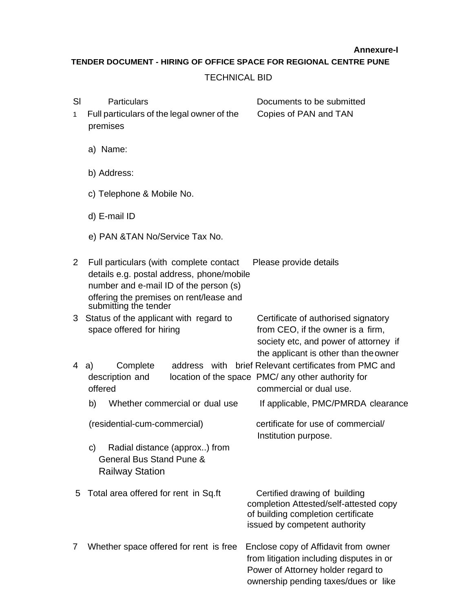**Annexure-I**

**TENDER DOCUMENT - HIRING OF OFFICE SPACE FOR REGIONAL CENTRE PUNE**

## TECHNICAL BID

| SI<br>1.     | <b>Particulars</b><br>Full particulars of the legal owner of the<br>premises                                                                                                                       | Documents to be submitted<br>Copies of PAN and TAN                                                                                                             |
|--------------|----------------------------------------------------------------------------------------------------------------------------------------------------------------------------------------------------|----------------------------------------------------------------------------------------------------------------------------------------------------------------|
|              | a) Name:                                                                                                                                                                                           |                                                                                                                                                                |
|              | b) Address:                                                                                                                                                                                        |                                                                                                                                                                |
|              | c) Telephone & Mobile No.                                                                                                                                                                          |                                                                                                                                                                |
|              | d) E-mail ID                                                                                                                                                                                       |                                                                                                                                                                |
|              | e) PAN & TAN No/Service Tax No.                                                                                                                                                                    |                                                                                                                                                                |
| $\mathbf{2}$ | Full particulars (with complete contact<br>details e.g. postal address, phone/mobile<br>number and e-mail ID of the person (s)<br>offering the premises on rent/lease and<br>submitting the tender | Please provide details                                                                                                                                         |
| 3            | Status of the applicant with regard to<br>space offered for hiring                                                                                                                                 | Certificate of authorised signatory<br>from CEO, if the owner is a firm,<br>society etc, and power of attorney if<br>the applicant is other than the owner     |
| 4            | Complete<br>address with<br>a)<br>description and<br>offered                                                                                                                                       | brief Relevant certificates from PMC and<br>location of the space PMC/ any other authority for<br>commercial or dual use.                                      |
|              | Whether commercial or dual use<br>b)                                                                                                                                                               | If applicable, PMC/PMRDA clearance                                                                                                                             |
|              | (residential-cum-commercial)                                                                                                                                                                       | certificate for use of commercial/<br>Institution purpose.                                                                                                     |
|              | Radial distance (approx) from<br>C)<br>General Bus Stand Pune &<br><b>Railway Station</b>                                                                                                          |                                                                                                                                                                |
| 5            | Total area offered for rent in Sq.ft                                                                                                                                                               | Certified drawing of building<br>completion Attested/self-attested copy<br>of building completion certificate<br>issued by competent authority                 |
| 7            | Whether space offered for rent is free                                                                                                                                                             | Enclose copy of Affidavit from owner<br>from litigation including disputes in or<br>Power of Attorney holder regard to<br>ownership pending taxes/dues or like |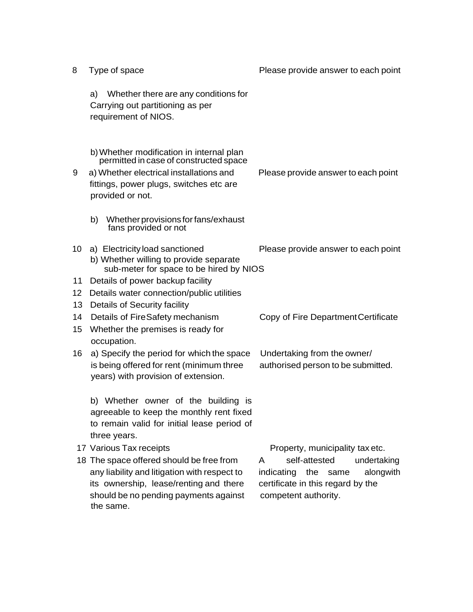| 8               | Type of space                                                                                                                                                                                | Please provide answer to each point                                                                                                |
|-----------------|----------------------------------------------------------------------------------------------------------------------------------------------------------------------------------------------|------------------------------------------------------------------------------------------------------------------------------------|
|                 | Whether there are any conditions for<br>a)<br>Carrying out partitioning as per<br>requirement of NIOS.                                                                                       |                                                                                                                                    |
| 9               | b) Whether modification in internal plan<br>permitted in case of constructed space<br>a) Whether electrical installations and<br>fittings, power plugs, switches etc are<br>provided or not. | Please provide answer to each point                                                                                                |
|                 | b)<br>Whether provisions for fans/exhaust<br>fans provided or not                                                                                                                            |                                                                                                                                    |
| 10 <sup>°</sup> | a) Electricity load sanctioned<br>b) Whether willing to provide separate<br>sub-meter for space to be hired by NIOS                                                                          | Please provide answer to each point                                                                                                |
| 11              | Details of power backup facility                                                                                                                                                             |                                                                                                                                    |
| 12              | Details water connection/public utilities                                                                                                                                                    |                                                                                                                                    |
| 13              | Details of Security facility                                                                                                                                                                 |                                                                                                                                    |
| 14<br>15        | Details of FireSafety mechanism<br>Whether the premises is ready for<br>occupation.                                                                                                          | Copy of Fire Department Certificate                                                                                                |
| 16              | a) Specify the period for which the space<br>is being offered for rent (minimum three<br>years) with provision of extension.                                                                 | Undertaking from the owner/<br>authorised person to be submitted.                                                                  |
|                 | b) Whether owner of the building is<br>agreeable to keep the monthly rent fixed<br>to remain valid for initial lease period of<br>three years.                                               |                                                                                                                                    |
|                 | 17 Various Tax receipts                                                                                                                                                                      | Property, municipality tax etc.                                                                                                    |
|                 | 18 The space offered should be free from<br>any liability and litigation with respect to<br>its ownership, lease/renting and there<br>should be no pending payments against<br>the same.     | self-attested<br>undertaking<br>A<br>indicating the same<br>alongwith<br>certificate in this regard by the<br>competent authority. |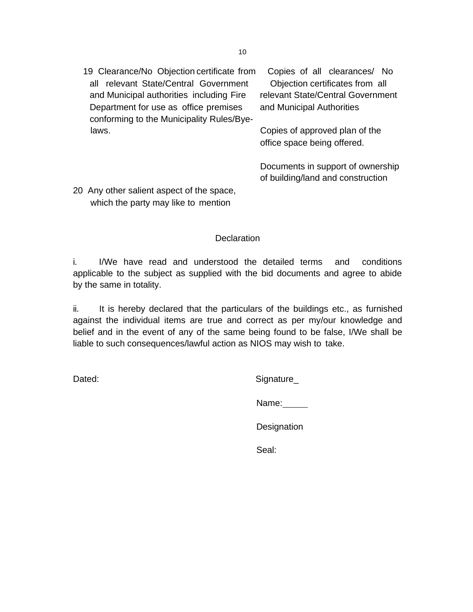19 Clearance/No Objection certificate from Copies of all clearances/ No all relevant State/Central Government Objection certificates from all and Municipal authorities including Fire relevant State/Central Government Department for use as office premises and Municipal Authorities conforming to the Municipality Rules/Byelaws.

Copies of approved plan of the office space being offered.

Documents in support of ownership of building/land and construction

20 Any other salient aspect of the space, which the party may like to mention

# **Declaration**

i. I/We have read and understood the detailed terms and conditions applicable to the subject as supplied with the bid documents and agree to abide by the same in totality.

ii. It is hereby declared that the particulars of the buildings etc., as furnished against the individual items are true and correct as per my/our knowledge and belief and in the event of any of the same being found to be false, I/We shall be liable to such consequences/lawful action as NIOS may wish to take.

Dated: Signature\_

Name:

**Designation** 

Seal: